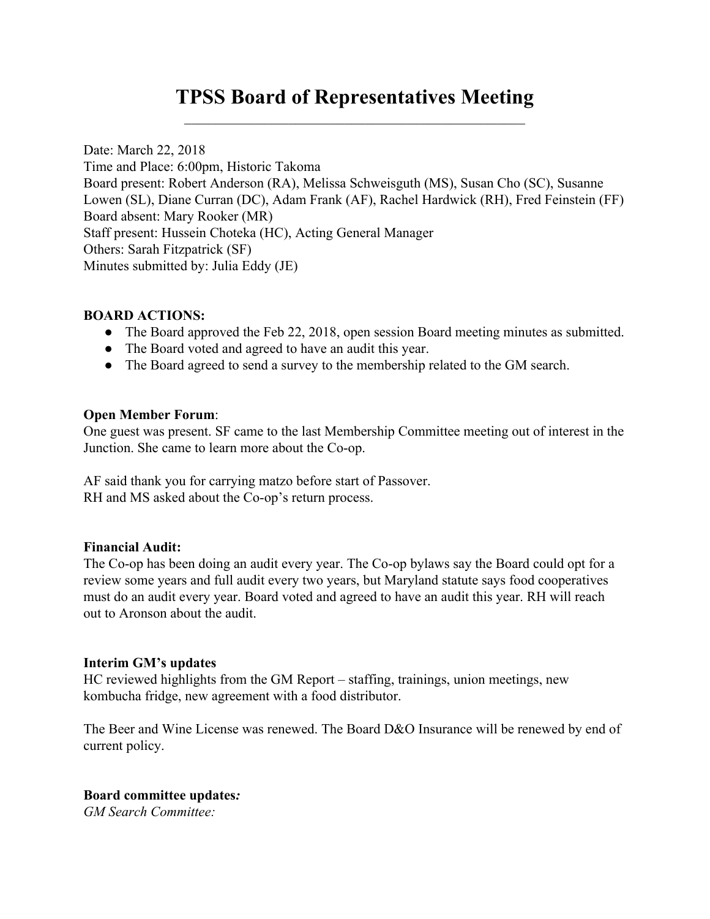## **TPSS Board of Representatives Meeting**  $\mathcal{L}_\text{max}$  and  $\mathcal{L}_\text{max}$  and  $\mathcal{L}_\text{max}$  and  $\mathcal{L}_\text{max}$  and  $\mathcal{L}_\text{max}$

Date: March 22, 2018 Time and Place: 6:00pm, Historic Takoma Board present: Robert Anderson (RA), Melissa Schweisguth (MS), Susan Cho (SC), Susanne Lowen (SL), Diane Curran (DC), Adam Frank (AF), Rachel Hardwick (RH), Fred Feinstein (FF) Board absent: Mary Rooker (MR) Staff present: Hussein Choteka (HC), Acting General Manager Others: Sarah Fitzpatrick (SF) Minutes submitted by: Julia Eddy (JE)

### **BOARD ACTIONS:**

- The Board approved the Feb 22, 2018, open session Board meeting minutes as submitted.
- The Board voted and agreed to have an audit this year.
- The Board agreed to send a survey to the membership related to the GM search.

### **Open Member Forum**:

One guest was present. SF came to the last Membership Committee meeting out of interest in the Junction. She came to learn more about the Co-op.

AF said thank you for carrying matzo before start of Passover. RH and MS asked about the Co-op's return process.

### **Financial Audit:**

The Co-op has been doing an audit every year. The Co-op bylaws say the Board could opt for a review some years and full audit every two years, but Maryland statute says food cooperatives must do an audit every year. Board voted and agreed to have an audit this year. RH will reach out to Aronson about the audit.

### **Interim GM's updates**

HC reviewed highlights from the GM Report – staffing, trainings, union meetings, new kombucha fridge, new agreement with a food distributor.

The Beer and Wine License was renewed. The Board D&O Insurance will be renewed by end of current policy.

# **Board committee updates***:*

*GM Search Committee:*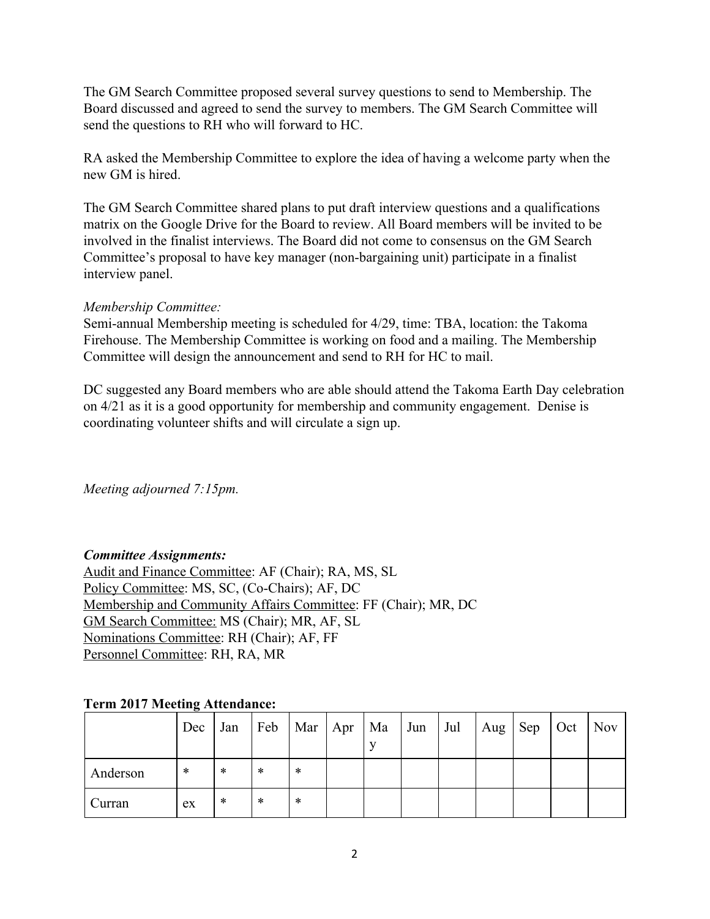The GM Search Committee proposed several survey questions to send to Membership. The Board discussed and agreed to send the survey to members. The GM Search Committee will send the questions to RH who will forward to HC.

RA asked the Membership Committee to explore the idea of having a welcome party when the new GM is hired.

The GM Search Committee shared plans to put draft interview questions and a qualifications matrix on the Google Drive for the Board to review. All Board members will be invited to be involved in the finalist interviews. The Board did not come to consensus on the GM Search Committee's proposal to have key manager (non-bargaining unit) participate in a finalist interview panel.

### *Membership Committee:*

Semi-annual Membership meeting is scheduled for 4/29, time: TBA, location: the Takoma Firehouse. The Membership Committee is working on food and a mailing. The Membership Committee will design the announcement and send to RH for HC to mail.

DC suggested any Board members who are able should attend the Takoma Earth Day celebration on 4/21 as it is a good opportunity for membership and community engagement. Denise is coordinating volunteer shifts and will circulate a sign up.

*Meeting adjourned 7:15pm.*

### *Committee Assignments:*

Audit and Finance Committee: AF (Chair); RA, MS, SL Policy Committee: MS, SC, (Co-Chairs); AF, DC Membership and Community Affairs Committee: FF (Chair); MR, DC GM Search Committee: MS (Chair); MR, AF, SL Nominations Committee: RH (Chair); AF, FF Personnel Committee: RH, RA, MR

### **Term 2017 Meeting Attendance:**

|          | Dec | Jan | Feb |   | Mar   Apr   Ma   Jun | Jul | Aug $\left $ Sep | Oct | $\sqrt{Nov}$ |
|----------|-----|-----|-----|---|----------------------|-----|------------------|-----|--------------|
| Anderson | *   | *   | *   | * |                      |     |                  |     |              |
| Curran   | ex  | *   | *   | ∗ |                      |     |                  |     |              |